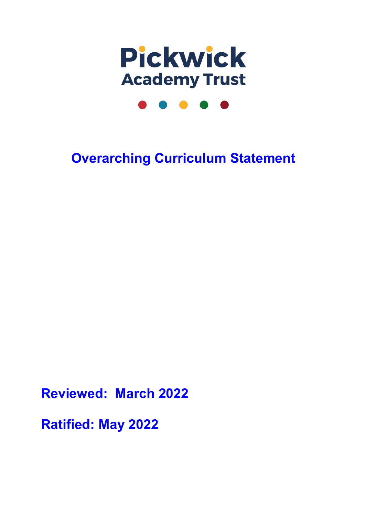

## **Overarching Curriculum Statement**

**Reviewed: March 2022**

**Ratified: May 2022**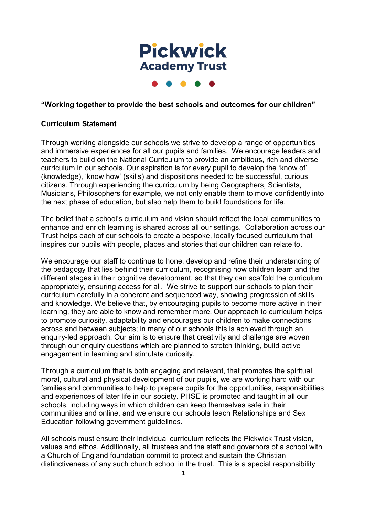

## **"Working together to provide the best schools and outcomes for our children"**

## **Curriculum Statement**

Through working alongside our schools we strive to develop a range of opportunities and immersive experiences for all our pupils and families. We encourage leaders and teachers to build on the National Curriculum to provide an ambitious, rich and diverse curriculum in our schools. Our aspiration is for every pupil to develop the 'know of' (knowledge), 'know how' (skills) and dispositions needed to be successful, curious citizens. Through experiencing the curriculum by being Geographers, Scientists, Musicians, Philosophers for example, we not only enable them to move confidently into the next phase of education, but also help them to build foundations for life.

The belief that a school's curriculum and vision should reflect the local communities to enhance and enrich learning is shared across all our settings. Collaboration across our Trust helps each of our schools to create a bespoke, locally focused curriculum that inspires our pupils with people, places and stories that our children can relate to.

We encourage our staff to continue to hone, develop and refine their understanding of the pedagogy that lies behind their curriculum, recognising how children learn and the different stages in their cognitive development, so that they can scaffold the curriculum appropriately, ensuring access for all. We strive to support our schools to plan their curriculum carefully in a coherent and sequenced way, showing progression of skills and knowledge. We believe that, by encouraging pupils to become more active in their learning, they are able to know and remember more. Our approach to curriculum helps to promote curiosity, adaptability and encourages our children to make connections across and between subjects; in many of our schools this is achieved through an enquiry-led approach. Our aim is to ensure that creativity and challenge are woven through our enquiry questions which are planned to stretch thinking, build active engagement in learning and stimulate curiosity.

Through a curriculum that is both engaging and relevant, that promotes the spiritual, moral, cultural and physical development of our pupils, we are working hard with our families and communities to help to prepare pupils for the opportunities, responsibilities and experiences of later life in our society. PHSE is promoted and taught in all our schools, including ways in which children can keep themselves safe in their communities and online, and we ensure our schools teach Relationships and Sex Education following government guidelines.

All schools must ensure their individual curriculum reflects the Pickwick Trust vision, values and ethos. Additionally, all trustees and the staff and governors of a school with a Church of England foundation commit to protect and sustain the Christian distinctiveness of any such church school in the trust. This is a special responsibility